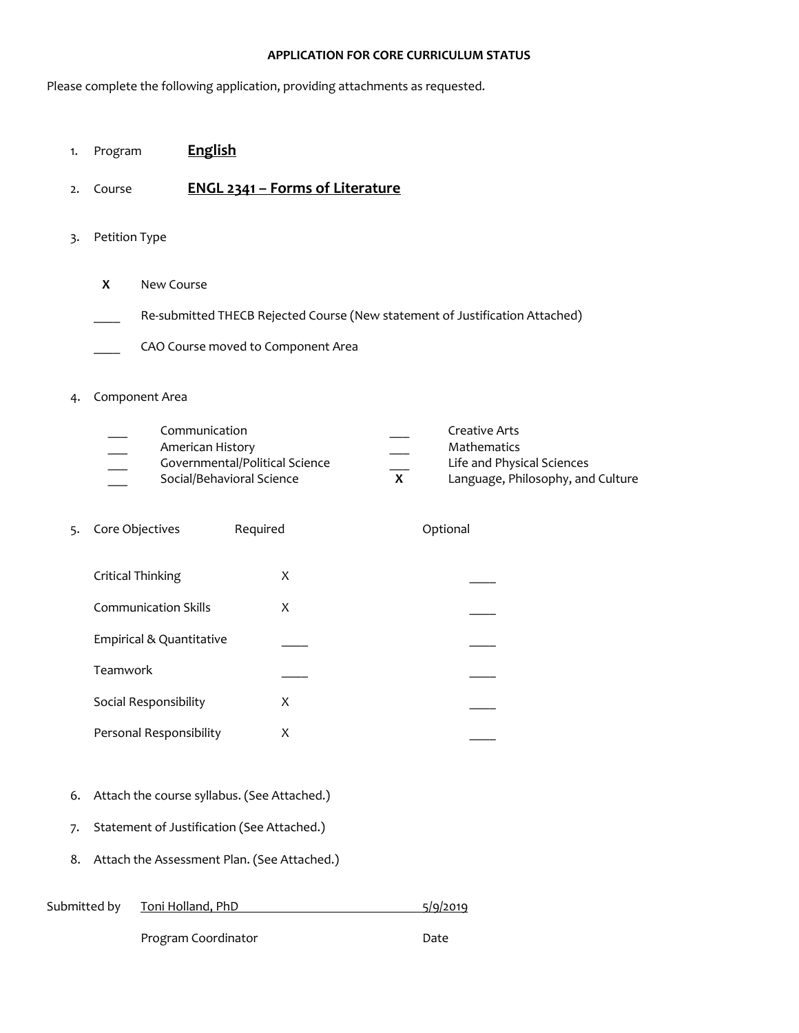#### **APPLICATION FOR CORE CURRICULUM STATUS**

Please complete the following application, providing attachments as requested.

- 1. Program **English**
- 2. Course **ENGL 2341 – Forms of Literature**
- 3. Petition Type
	- **X** New Course
	- Re-submitted THECB Rejected Course (New statement of Justification Attached)
	- CAO Course moved to Component Area

#### 4. Component Area

|                          | Communication                  |    | Creative Arts                     |
|--------------------------|--------------------------------|----|-----------------------------------|
| $\overline{\phantom{a}}$ | American History               |    | <b>Mathematics</b>                |
|                          | Governmental/Political Science |    | Life and Physical Sciences        |
|                          | Social/Behavioral Science      | X. | Language, Philosophy, and Culture |

| 5. | Core Objectives             | Required | Optional |
|----|-----------------------------|----------|----------|
|    | Critical Thinking           | X        |          |
|    | <b>Communication Skills</b> | X        |          |
|    | Empirical & Quantitative    |          |          |
|    | Teamwork                    |          |          |
|    | Social Responsibility       | X        |          |
|    | Personal Responsibility     | х        |          |

- 6. Attach the course syllabus. (See Attached.)
- 7. Statement of Justification (See Attached.)
- 8. Attach the Assessment Plan. (See Attached.)

| Submitted by | Toni Holland, PhD | 5/9/2019 |
|--------------|-------------------|----------|
|              |                   |          |

Program Coordinator **Date**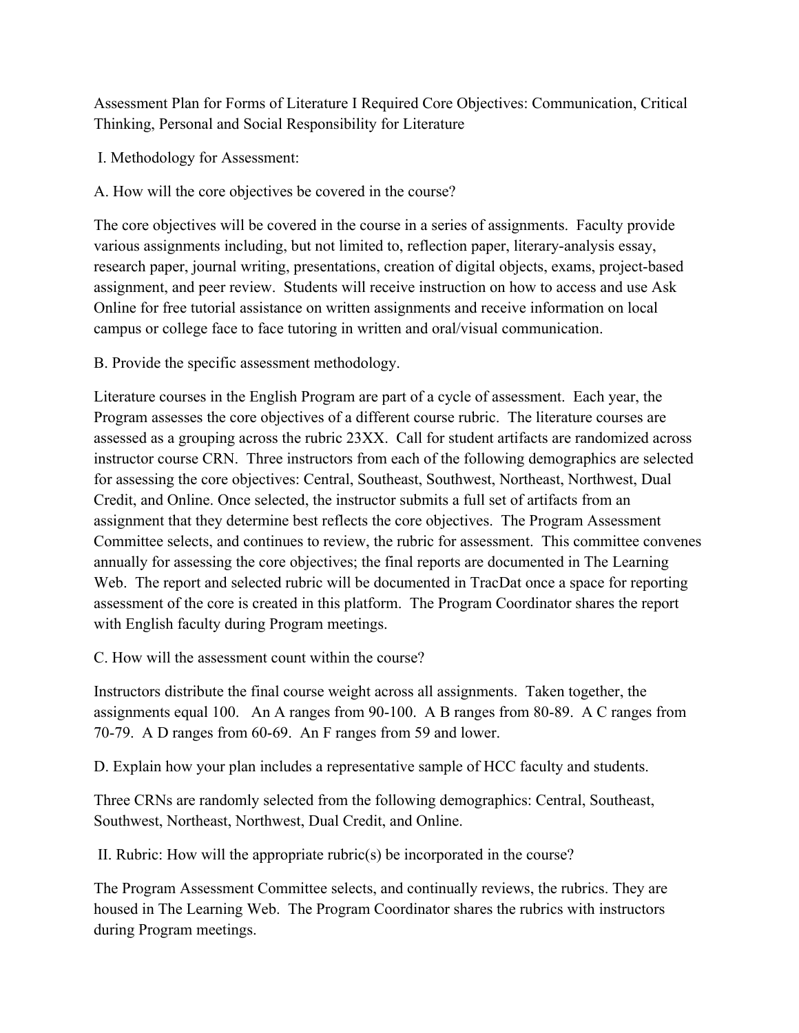Assessment Plan for Forms of Literature I Required Core Objectives: Communication, Critical Thinking, Personal and Social Responsibility for Literature

I. Methodology for Assessment:

A. How will the core objectives be covered in the course?

The core objectives will be covered in the course in a series of assignments. Faculty provide various assignments including, but not limited to, reflection paper, literary-analysis essay, research paper, journal writing, presentations, creation of digital objects, exams, project-based assignment, and peer review. Students will receive instruction on how to access and use Ask Online for free tutorial assistance on written assignments and receive information on local campus or college face to face tutoring in written and oral/visual communication.

B. Provide the specific assessment methodology.

Literature courses in the English Program are part of a cycle of assessment. Each year, the Program assesses the core objectives of a different course rubric. The literature courses are assessed as a grouping across the rubric 23XX. Call for student artifacts are randomized across instructor course CRN. Three instructors from each of the following demographics are selected for assessing the core objectives: Central, Southeast, Southwest, Northeast, Northwest, Dual Credit, and Online. Once selected, the instructor submits a full set of artifacts from an assignment that they determine best reflects the core objectives. The Program Assessment Committee selects, and continues to review, the rubric for assessment. This committee convenes annually for assessing the core objectives; the final reports are documented in The Learning Web. The report and selected rubric will be documented in TracDat once a space for reporting assessment of the core is created in this platform. The Program Coordinator shares the report with English faculty during Program meetings.

C. How will the assessment count within the course?

Instructors distribute the final course weight across all assignments. Taken together, the assignments equal 100. An A ranges from 90-100. A B ranges from 80-89. A C ranges from 70-79. A D ranges from 60-69. An F ranges from 59 and lower.

D. Explain how your plan includes a representative sample of HCC faculty and students.

Three CRNs are randomly selected from the following demographics: Central, Southeast, Southwest, Northeast, Northwest, Dual Credit, and Online.

II. Rubric: How will the appropriate rubric(s) be incorporated in the course?

The Program Assessment Committee selects, and continually reviews, the rubrics. They are housed in The Learning Web. The Program Coordinator shares the rubrics with instructors during Program meetings.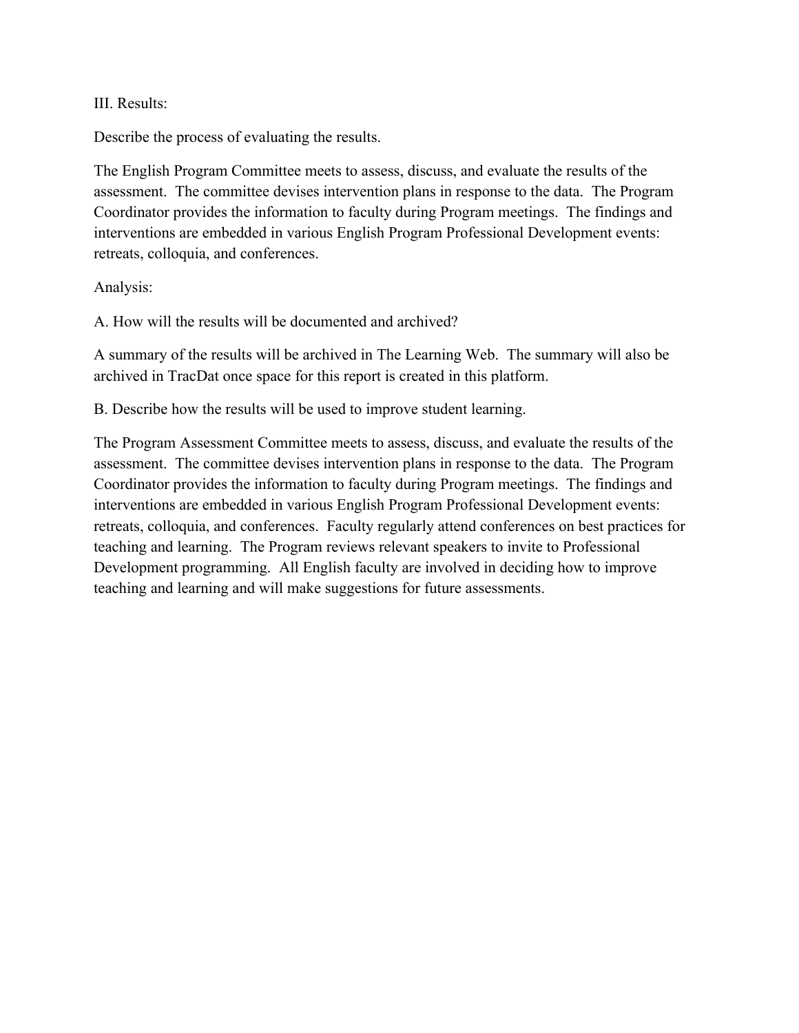#### III. Results:

Describe the process of evaluating the results.

The English Program Committee meets to assess, discuss, and evaluate the results of the assessment. The committee devises intervention plans in response to the data. The Program Coordinator provides the information to faculty during Program meetings. The findings and interventions are embedded in various English Program Professional Development events: retreats, colloquia, and conferences.

Analysis:

A. How will the results will be documented and archived?

A summary of the results will be archived in The Learning Web. The summary will also be archived in TracDat once space for this report is created in this platform.

B. Describe how the results will be used to improve student learning.

The Program Assessment Committee meets to assess, discuss, and evaluate the results of the assessment. The committee devises intervention plans in response to the data. The Program Coordinator provides the information to faculty during Program meetings. The findings and interventions are embedded in various English Program Professional Development events: retreats, colloquia, and conferences. Faculty regularly attend conferences on best practices for teaching and learning. The Program reviews relevant speakers to invite to Professional Development programming. All English faculty are involved in deciding how to improve teaching and learning and will make suggestions for future assessments.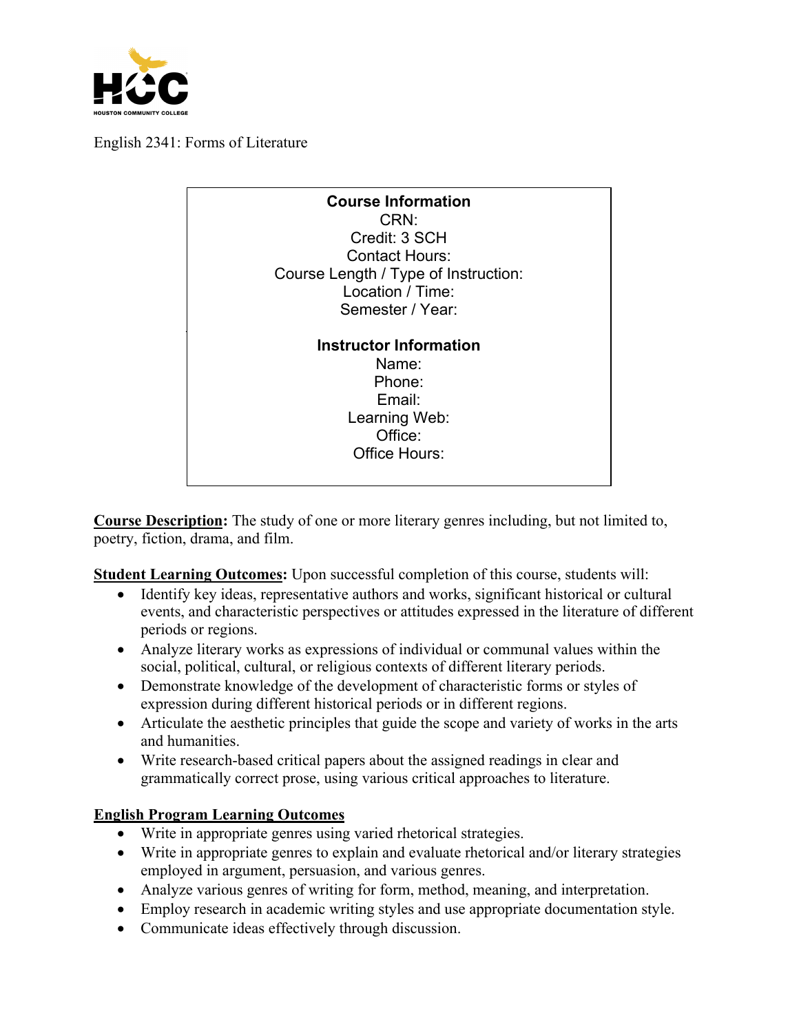

English 2341: Forms of Literature

| <b>Course Information</b><br>CRN:<br>Credit: 3 SCH<br><b>Contact Hours:</b><br>Course Length / Type of Instruction:<br>Location / Time: |
|-----------------------------------------------------------------------------------------------------------------------------------------|
| Semester / Year:                                                                                                                        |
| <b>Instructor Information</b><br>Name:<br>Phone:<br>Email:<br>Learning Web:<br>Office:<br>Office Hours:                                 |

**Course Description:** The study of one or more literary genres including, but not limited to, poetry, fiction, drama, and film.

**Student Learning Outcomes:** Upon successful completion of this course, students will:

- Identify key ideas, representative authors and works, significant historical or cultural events, and characteristic perspectives or attitudes expressed in the literature of different periods or regions.
- Analyze literary works as expressions of individual or communal values within the social, political, cultural, or religious contexts of different literary periods.
- Demonstrate knowledge of the development of characteristic forms or styles of expression during different historical periods or in different regions.
- Articulate the aesthetic principles that guide the scope and variety of works in the arts and humanities.
- Write research-based critical papers about the assigned readings in clear and grammatically correct prose, using various critical approaches to literature.

# **English Program Learning Outcomes**

- Write in appropriate genres using varied rhetorical strategies.
- Write in appropriate genres to explain and evaluate rhetorical and/or literary strategies employed in argument, persuasion, and various genres.
- Analyze various genres of writing for form, method, meaning, and interpretation.
- Employ research in academic writing styles and use appropriate documentation style.
- Communicate ideas effectively through discussion.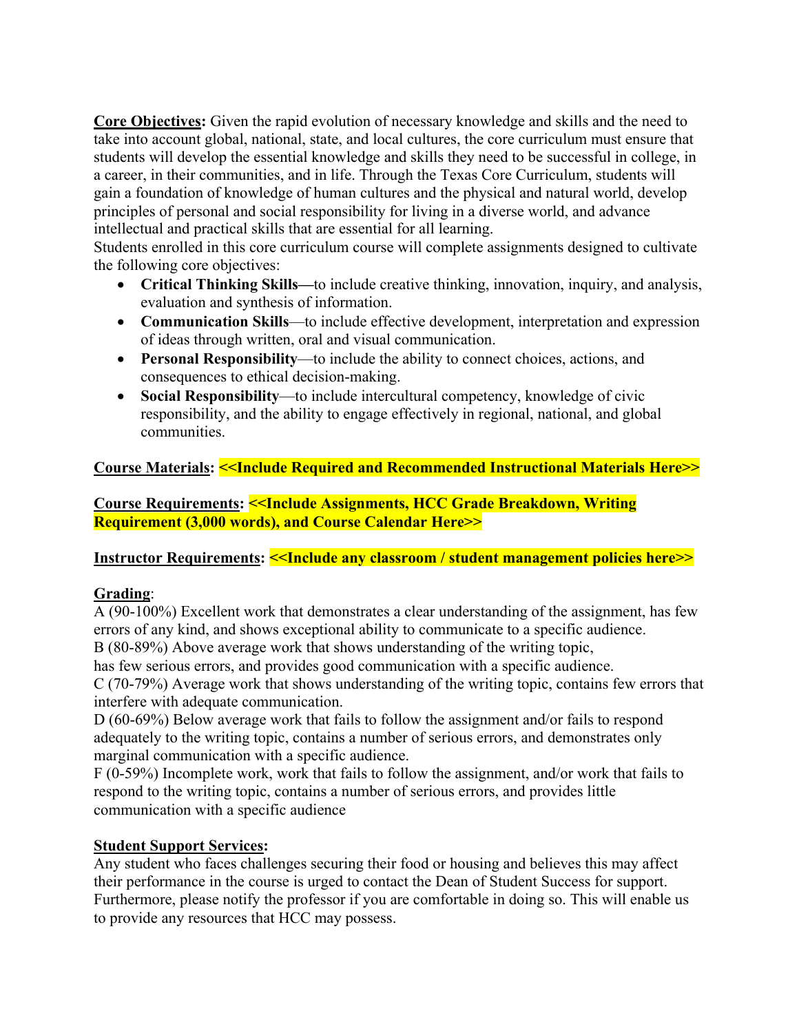**Core Objectives:** Given the rapid evolution of necessary knowledge and skills and the need to take into account global, national, state, and local cultures, the core curriculum must ensure that students will develop the essential knowledge and skills they need to be successful in college, in a career, in their communities, and in life. Through the Texas Core Curriculum, students will gain a foundation of knowledge of human cultures and the physical and natural world, develop principles of personal and social responsibility for living in a diverse world, and advance intellectual and practical skills that are essential for all learning.

Students enrolled in this core curriculum course will complete assignments designed to cultivate the following core objectives:

- **Critical Thinking Skills—**to include creative thinking, innovation, inquiry, and analysis, evaluation and synthesis of information.
- **Communication Skills**—to include effective development, interpretation and expression of ideas through written, oral and visual communication.
- **Personal Responsibility**—to include the ability to connect choices, actions, and consequences to ethical decision-making.
- **Social Responsibility**—to include intercultural competency, knowledge of civic responsibility, and the ability to engage effectively in regional, national, and global communities.

# **Course Materials: <<Include Required and Recommended Instructional Materials Here>>**

**Course Requirements: <<Include Assignments, HCC Grade Breakdown, Writing Requirement (3,000 words), and Course Calendar Here>>**

## **Instructor Requirements: << Include any classroom / student management policies here>>**

## **Grading**:

A (90-100%) Excellent work that demonstrates a clear understanding of the assignment, has few errors of any kind, and shows exceptional ability to communicate to a specific audience.

B (80-89%) Above average work that shows understanding of the writing topic,

has few serious errors, and provides good communication with a specific audience. C (70-79%) Average work that shows understanding of the writing topic, contains few errors that

interfere with adequate communication.

D (60-69%) Below average work that fails to follow the assignment and/or fails to respond adequately to the writing topic, contains a number of serious errors, and demonstrates only marginal communication with a specific audience.

F (0-59%) Incomplete work, work that fails to follow the assignment, and/or work that fails to respond to the writing topic, contains a number of serious errors, and provides little communication with a specific audience

## **Student Support Services:**

Any student who faces challenges securing their food or housing and believes this may affect their performance in the course is urged to contact the Dean of Student Success for support. Furthermore, please notify the professor if you are comfortable in doing so. This will enable us to provide any resources that HCC may possess.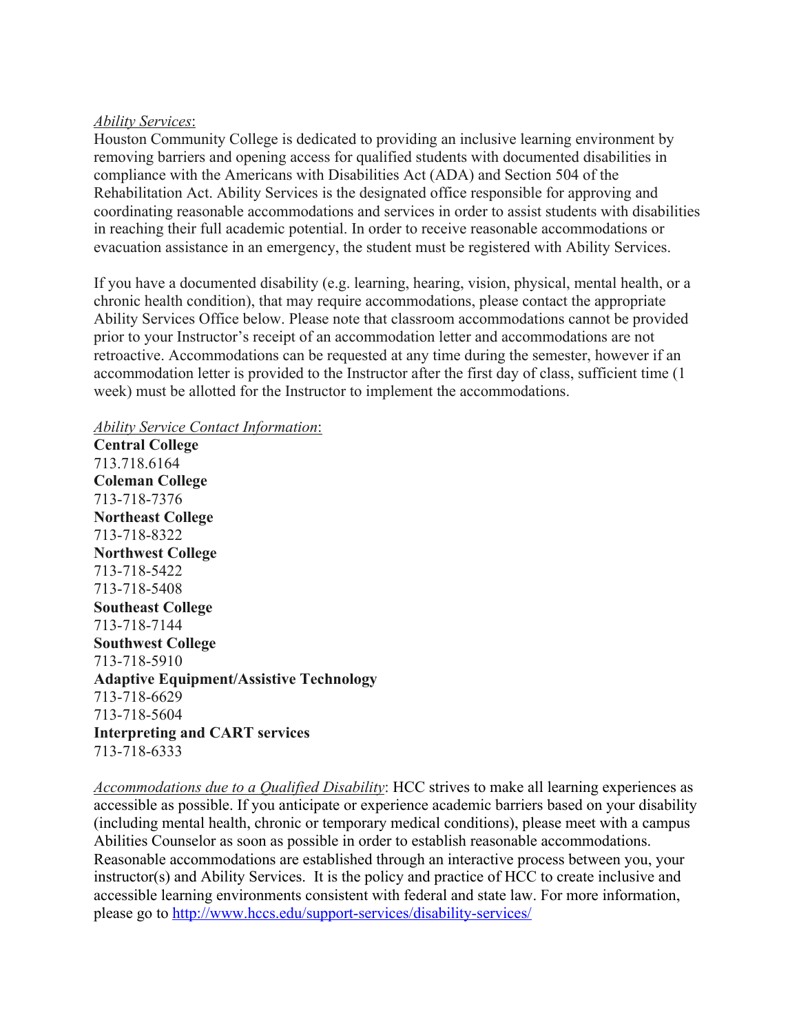#### *Ability Services*:

Houston Community College is dedicated to providing an inclusive learning environment by removing barriers and opening access for qualified students with documented disabilities in compliance with the Americans with Disabilities Act (ADA) and Section 504 of the Rehabilitation Act. Ability Services is the designated office responsible for approving and coordinating reasonable accommodations and services in order to assist students with disabilities in reaching their full academic potential. In order to receive reasonable accommodations or evacuation assistance in an emergency, the student must be registered with Ability Services.

If you have a documented disability (e.g. learning, hearing, vision, physical, mental health, or a chronic health condition), that may require accommodations, please contact the appropriate Ability Services Office below. Please note that classroom accommodations cannot be provided prior to your Instructor's receipt of an accommodation letter and accommodations are not retroactive. Accommodations can be requested at any time during the semester, however if an accommodation letter is provided to the Instructor after the first day of class, sufficient time (1 week) must be allotted for the Instructor to implement the accommodations.

#### *Ability Service Contact Information*:

**Central College** 713.718.6164 **Coleman College** 713-718-7376 **Northeast College** 713-718-8322 **Northwest College** 713-718-5422 713-718-5408 **Southeast College** 713-718-7144 **Southwest College** 713-718-5910 **Adaptive Equipment/Assistive Technology** 713-718-6629 713-718-5604 **Interpreting and CART services** 713-718-6333

*Accommodations due to a Qualified Disability*: HCC strives to make all learning experiences as accessible as possible. If you anticipate or experience academic barriers based on your disability (including mental health, chronic or temporary medical conditions), please meet with a campus Abilities Counselor as soon as possible in order to establish reasonable accommodations. Reasonable accommodations are established through an interactive process between you, your instructor(s) and Ability Services. It is the policy and practice of HCC to create inclusive and accessible learning environments consistent with federal and state law. For more information, please go to http://www.hccs.edu/support-services/disability-services/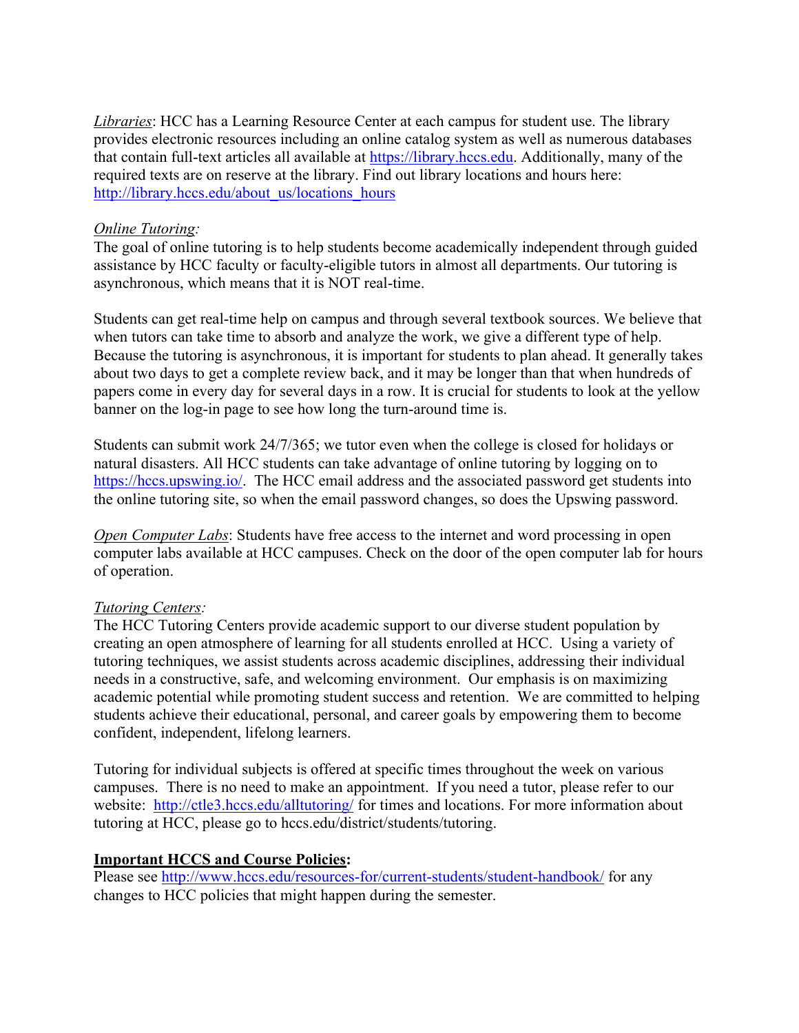*Libraries*: HCC has a Learning Resource Center at each campus for student use. The library provides electronic resources including an online catalog system as well as numerous databases that contain full-text articles all available at https://library.hccs.edu. Additionally, many of the required texts are on reserve at the library. Find out library locations and hours here: http://library.hccs.edu/about\_us/locations\_hours

#### *Online Tutoring:*

The goal of online tutoring is to help students become academically independent through guided assistance by HCC faculty or faculty-eligible tutors in almost all departments. Our tutoring is asynchronous, which means that it is NOT real-time.

Students can get real-time help on campus and through several textbook sources. We believe that when tutors can take time to absorb and analyze the work, we give a different type of help. Because the tutoring is asynchronous, it is important for students to plan ahead. It generally takes about two days to get a complete review back, and it may be longer than that when hundreds of papers come in every day for several days in a row. It is crucial for students to look at the yellow banner on the log-in page to see how long the turn-around time is.

Students can submit work 24/7/365; we tutor even when the college is closed for holidays or natural disasters. All HCC students can take advantage of online tutoring by logging on to https://hccs.upswing.io/. The HCC email address and the associated password get students into the online tutoring site, so when the email password changes, so does the Upswing password.

*Open Computer Labs*: Students have free access to the internet and word processing in open computer labs available at HCC campuses. Check on the door of the open computer lab for hours of operation.

## *Tutoring Centers:*

The HCC Tutoring Centers provide academic support to our diverse student population by creating an open atmosphere of learning for all students enrolled at HCC. Using a variety of tutoring techniques, we assist students across academic disciplines, addressing their individual needs in a constructive, safe, and welcoming environment. Our emphasis is on maximizing academic potential while promoting student success and retention. We are committed to helping students achieve their educational, personal, and career goals by empowering them to become confident, independent, lifelong learners.

Tutoring for individual subjects is offered at specific times throughout the week on various campuses. There is no need to make an appointment. If you need a tutor, please refer to our website: http://ctle3.hccs.edu/alltutoring/ for times and locations. For more information about tutoring at HCC, please go to hccs.edu/district/students/tutoring.

## **Important HCCS and Course Policies:**

Please see http://www.hccs.edu/resources-for/current-students/student-handbook/ for any changes to HCC policies that might happen during the semester.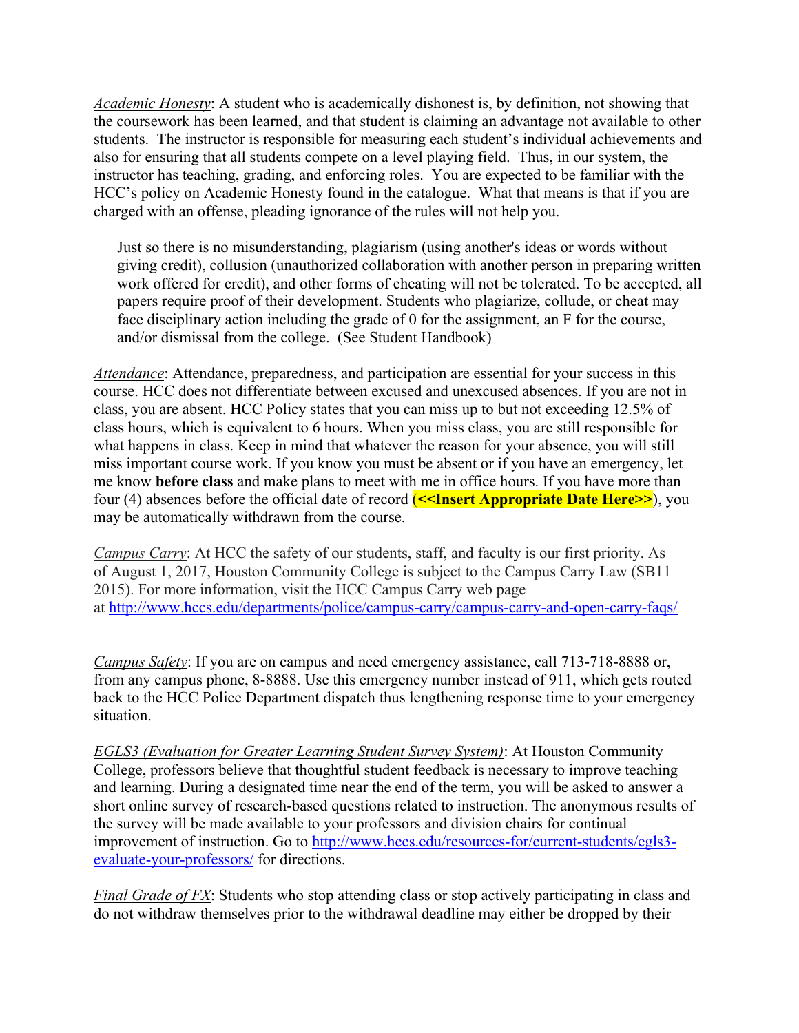*Academic Honesty*: A student who is academically dishonest is, by definition, not showing that the coursework has been learned, and that student is claiming an advantage not available to other students. The instructor is responsible for measuring each student's individual achievements and also for ensuring that all students compete on a level playing field. Thus, in our system, the instructor has teaching, grading, and enforcing roles. You are expected to be familiar with the HCC's policy on Academic Honesty found in the catalogue. What that means is that if you are charged with an offense, pleading ignorance of the rules will not help you.

Just so there is no misunderstanding, plagiarism (using another's ideas or words without giving credit), collusion (unauthorized collaboration with another person in preparing written work offered for credit), and other forms of cheating will not be tolerated. To be accepted, all papers require proof of their development. Students who plagiarize, collude, or cheat may face disciplinary action including the grade of 0 for the assignment, an F for the course, and/or dismissal from the college. (See Student Handbook)

*Attendance*: Attendance, preparedness, and participation are essential for your success in this course. HCC does not differentiate between excused and unexcused absences. If you are not in class, you are absent. HCC Policy states that you can miss up to but not exceeding 12.5% of class hours, which is equivalent to 6 hours. When you miss class, you are still responsible for what happens in class. Keep in mind that whatever the reason for your absence, you will still miss important course work. If you know you must be absent or if you have an emergency, let me know **before class** and make plans to meet with me in office hours. If you have more than four (4) absences before the official date of record (**<<Insert Appropriate Date Here>>**), you may be automatically withdrawn from the course.

*Campus Carry*: At HCC the safety of our students, staff, and faculty is our first priority. As of August 1, 2017, Houston Community College is subject to the Campus Carry Law (SB11 2015). For more information, visit the HCC Campus Carry web page at http://www.hccs.edu/departments/police/campus-carry/campus-carry-and-open-carry-faqs/

*Campus Safety*: If you are on campus and need emergency assistance, call 713-718-8888 or, from any campus phone, 8-8888. Use this emergency number instead of 911, which gets routed back to the HCC Police Department dispatch thus lengthening response time to your emergency situation.

*EGLS3 (Evaluation for Greater Learning Student Survey System)*: At Houston Community College, professors believe that thoughtful student feedback is necessary to improve teaching and learning. During a designated time near the end of the term, you will be asked to answer a short online survey of research-based questions related to instruction. The anonymous results of the survey will be made available to your professors and division chairs for continual improvement of instruction. Go to http://www.hccs.edu/resources-for/current-students/egls3 evaluate-your-professors/ for directions.

*Final Grade of FX*: Students who stop attending class or stop actively participating in class and do not withdraw themselves prior to the withdrawal deadline may either be dropped by their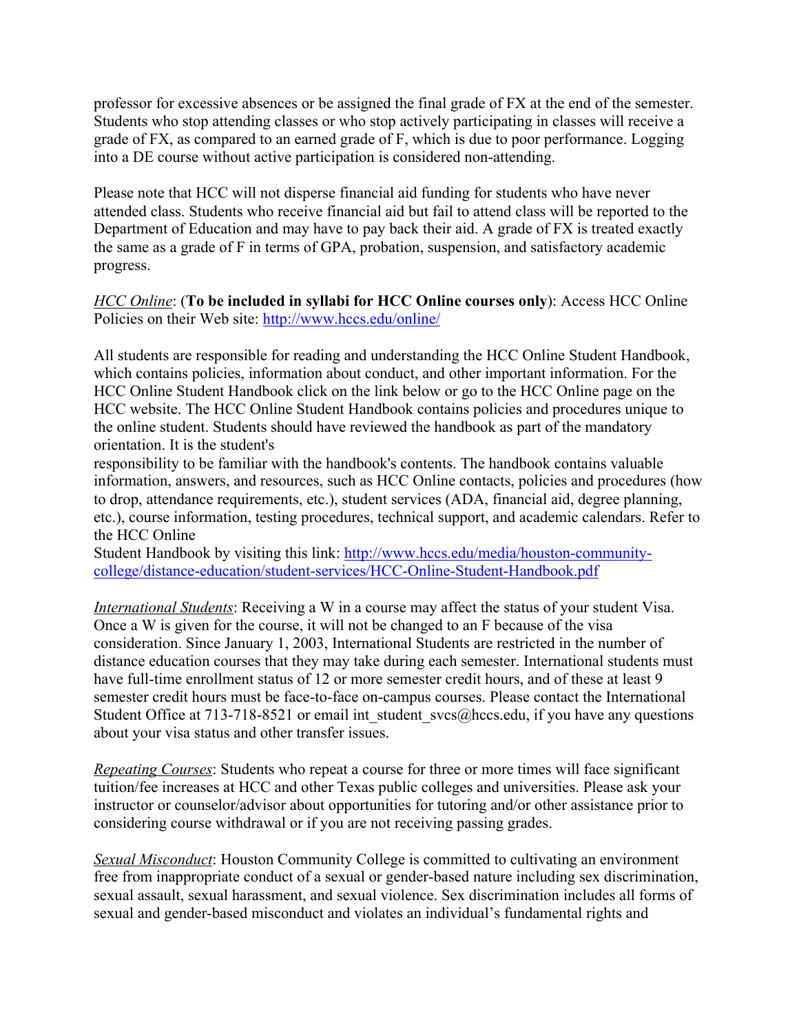professor for excessive absences or be assigned the final grade of FX at the end of the semester. Students who stop attending classes or who stop actively participating in classes will receive a grade of FX, as compared to an earned grade of F, which is due to poor performance. Logging into a DE course without active participation is considered non-attending.

Please note that HCC will not disperse financial aid funding for students who have never attended class. Students who receive financial aid but fail to attend class will be reported to the Department of Education and may have to pay back their aid. A grade of FX is treated exactly the same as a grade of F in terms of GPA, probation, suspension, and satisfactory academic progress.

*HCC Online*: (**To be included in syllabi for HCC Online courses only**): Access HCC Online Policies on their Web site: http://www.hccs.edu/online/

All students are responsible for reading and understanding the HCC Online Student Handbook, which contains policies, information about conduct, and other important information. For the HCC Online Student Handbook click on the link below or go to the HCC Online page on the HCC website. The HCC Online Student Handbook contains policies and procedures unique to the online student. Students should have reviewed the handbook as part of the mandatory orientation. It is the student's

responsibility to be familiar with the handbook's contents. The handbook contains valuable information, answers, and resources, such as HCC Online contacts, policies and procedures (how to drop, attendance requirements, etc.), student services (ADA, financial aid, degree planning, etc.), course information, testing procedures, technical support, and academic calendars. Refer to the HCC Online

Student Handbook by visiting this link: http://www.hccs.edu/media/houston-communitycollege/distance-education/student-services/HCC-Online-Student-Handbook.pdf

*International Students*: Receiving a W in a course may affect the status of your student Visa. Once a W is given for the course, it will not be changed to an F because of the visa consideration. Since January 1, 2003, International Students are restricted in the number of distance education courses that they may take during each semester. International students must have full-time enrollment status of 12 or more semester credit hours, and of these at least 9 semester credit hours must be face-to-face on-campus courses. Please contact the International Student Office at 713-718-8521 or email int student  $sves@hccs.edu$ , if you have any questions about your visa status and other transfer issues.

*Repeating Courses*: Students who repeat a course for three or more times will face significant tuition/fee increases at HCC and other Texas public colleges and universities. Please ask your instructor or counselor/advisor about opportunities for tutoring and/or other assistance prior to considering course withdrawal or if you are not receiving passing grades.

*Sexual Misconduct*: Houston Community College is committed to cultivating an environment free from inappropriate conduct of a sexual or gender-based nature including sex discrimination, sexual assault, sexual harassment, and sexual violence. Sex discrimination includes all forms of sexual and gender-based misconduct and violates an individual's fundamental rights and